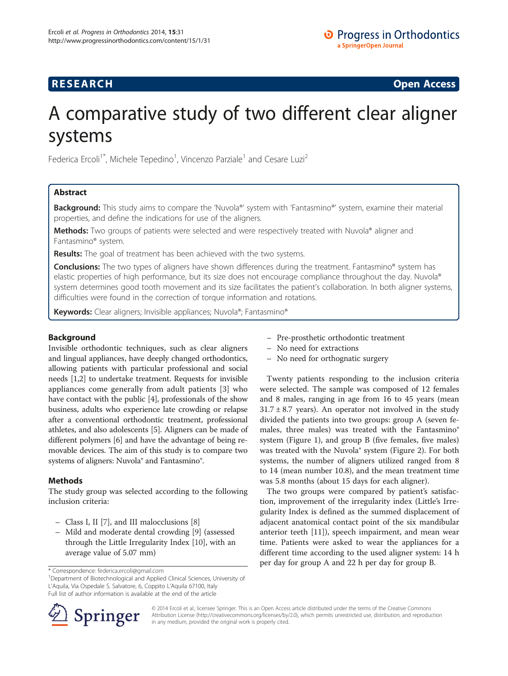# **RESEARCH CHINESE ARCH CHINESE ARCH CHINESE ARCH <b>CHINESE ARCH**

# A comparative study of two different clear aligner systems

Federica Ercoli<sup>1\*</sup>, Michele Tepedino<sup>1</sup>, Vincenzo Parziale<sup>1</sup> and Cesare Luzi<sup>2</sup>

# Abstract

Background: This study aims to compare the 'Nuvola®' system with 'Fantasmino®' system, examine their material properties, and define the indications for use of the aligners.

Methods: Two groups of patients were selected and were respectively treated with Nuvola® aligner and Fantasmino® system.

Results: The goal of treatment has been achieved with the two systems.

Conclusions: The two types of aligners have shown differences during the treatment. Fantasmino® system has elastic properties of high performance, but its size does not encourage compliance throughout the day. Nuvola® system determines good tooth movement and its size facilitates the patient's collaboration. In both aligner systems, difficulties were found in the correction of torque information and rotations.

Keywords: Clear aligners; Invisible appliances; Nuvola®; Fantasmino®

# **Background**

Invisible orthodontic techniques, such as clear aligners and lingual appliances, have deeply changed orthodontics, allowing patients with particular professional and social needs [\[1,2\]](#page-4-0) to undertake treatment. Requests for invisible appliances come generally from adult patients [[3\]](#page-4-0) who have contact with the public [\[4](#page-4-0)], professionals of the show business, adults who experience late crowding or relapse after a conventional orthodontic treatment, professional athletes, and also adolescents [\[5\]](#page-4-0). Aligners can be made of different polymers [[6\]](#page-4-0) and have the advantage of being removable devices. The aim of this study is to compare two systems of aligners: Nuvola® and Fantasmino®.

# Methods

The study group was selected according to the following inclusion criteria:

- Class I, II [\[7\]](#page-4-0), and III malocclusions [[8\]](#page-4-0)
- Mild and moderate dental crowding [\[9](#page-4-0)] (assessed through the Little Irregularity Index [\[10\]](#page-4-0), with an average value of 5.07 mm)

<sup>1</sup>Department of Biotechnological and Applied Clinical Sciences, University of L'Aquila, Via Ospedale S. Salvatore, 6, Coppito L'Aquila 67100, Italy Full list of author information is available at the end of the article



- No need for extractions
- No need for orthognatic surgery

Twenty patients responding to the inclusion criteria were selected. The sample was composed of 12 females and 8 males, ranging in age from 16 to 45 years (mean  $31.7 \pm 8.7$  years). An operator not involved in the study divided the patients into two groups: group A (seven females, three males) was treated with the Fantasmino® system (Figure [1](#page-1-0)), and group B (five females, five males) was treated with the Nuvola® system (Figure [2](#page-1-0)). For both systems, the number of aligners utilized ranged from 8 to 14 (mean number 10.8), and the mean treatment time was 5.8 months (about 15 days for each aligner).

The two groups were compared by patient's satisfaction, improvement of the irregularity index (Little's Irregularity Index is defined as the summed displacement of adjacent anatomical contact point of the six mandibular anterior teeth [[11\]](#page-4-0)), speech impairment, and mean wear time. Patients were asked to wear the appliances for a different time according to the used aligner system: 14 h per day for group A and 22 h per day for group B.



© 2014 Ercoli et al.; licensee Springer. This is an Open Access article distributed under the terms of the Creative Commons Attribution License [\(http://creativecommons.org/licenses/by/2.0\)](http://creativecommons.org/licenses/by/2.0), which permits unrestricted use, distribution, and reproduction in any medium, provided the original work is properly cited.

<sup>\*</sup> Correspondence: [federica.ercoli@gmail.com](mailto:federica.ercoli@gmail.com) <sup>1</sup>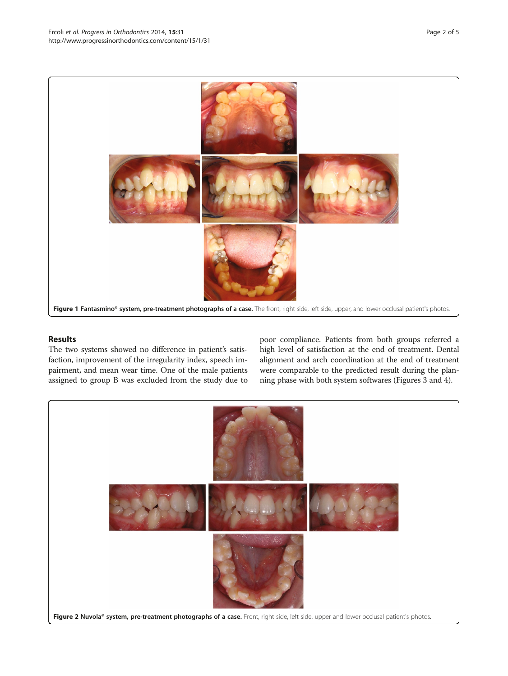<span id="page-1-0"></span>

## Results

The two systems showed no difference in patient's satisfaction, improvement of the irregularity index, speech impairment, and mean wear time. One of the male patients assigned to group B was excluded from the study due to

poor compliance. Patients from both groups referred a high level of satisfaction at the end of treatment. Dental alignment and arch coordination at the end of treatment were comparable to the predicted result during the planning phase with both system softwares (Figures [3](#page-2-0) and [4\)](#page-2-0).

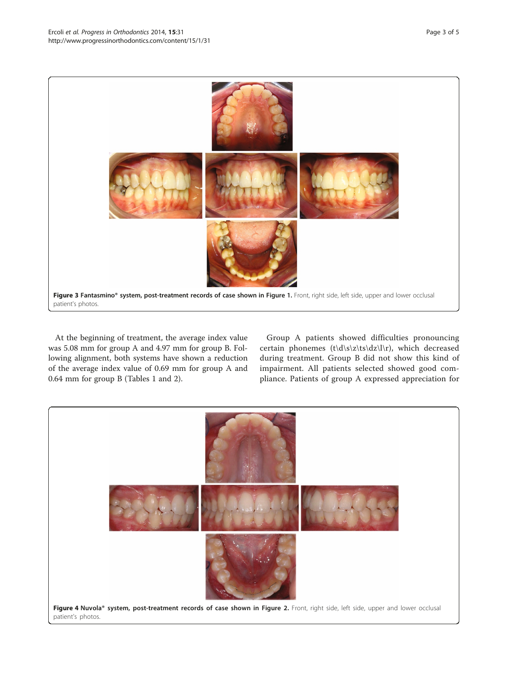<span id="page-2-0"></span>

At the beginning of treatment, the average index value was 5.08 mm for group A and 4.97 mm for group B. Following alignment, both systems have shown a reduction of the average index value of 0.69 mm for group A and 0.64 mm for group B (Tables [1](#page-3-0) and [2\)](#page-3-0).

Group A patients showed difficulties pronouncing certain phonemes (t\d\s\z\ts\dz\l\r), which decreased during treatment. Group B did not show this kind of impairment. All patients selected showed good compliance. Patients of group A expressed appreciation for

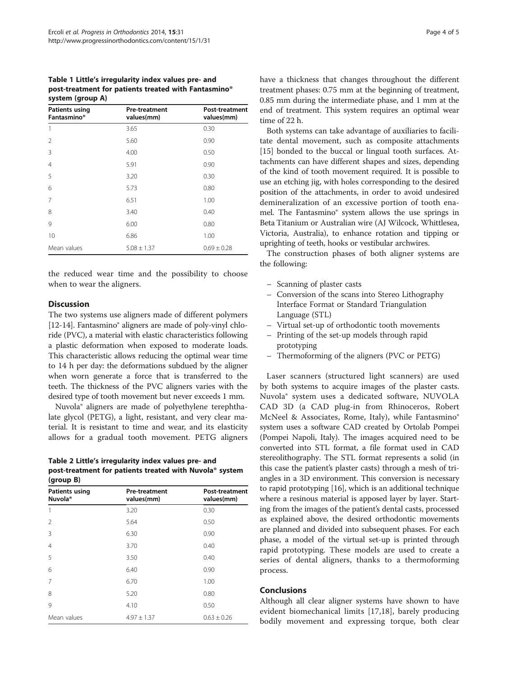<span id="page-3-0"></span>Table 1 Little's irregularity index values pre- and post-treatment for patients treated with Fantasmino® system (group A)

| <b>Patients using</b><br>Fantasmino® | <b>Pre-treatment</b><br>values(mm) | Post-treatment<br>values(mm) |
|--------------------------------------|------------------------------------|------------------------------|
| 1                                    | 3.65                               | 0.30                         |
| $\overline{2}$                       | 5.60                               | 0.90                         |
| 3                                    | 4.00                               | 0.50                         |
| $\overline{4}$                       | 5.91                               | 0.90                         |
| 5                                    | 3.20                               | 0.30                         |
| 6                                    | 5.73                               | 0.80                         |
| 7                                    | 6.51                               | 1.00                         |
| 8                                    | 3.40                               | 0.40                         |
| 9                                    | 6.00                               | 0.80                         |
| 10                                   | 6.86                               | 1.00                         |
| Mean values                          | $5.08 \pm 1.37$                    | $0.69 \pm 0.28$              |

the reduced wear time and the possibility to choose when to wear the aligners.

### **Discussion**

The two systems use aligners made of different polymers [[12](#page-4-0)-[14\]](#page-4-0). Fantasmino<sup>®</sup> aligners are made of poly-vinyl chloride (PVC), a material with elastic characteristics following a plastic deformation when exposed to moderate loads. This characteristic allows reducing the optimal wear time to 14 h per day: the deformations subdued by the aligner when worn generate a force that is transferred to the teeth. The thickness of the PVC aligners varies with the desired type of tooth movement but never exceeds 1 mm.

Nuvola® aligners are made of polyethylene terephthalate glycol (PETG), a light, resistant, and very clear material. It is resistant to time and wear, and its elasticity allows for a gradual tooth movement. PETG aligners

Table 2 Little's irregularity index values pre- and post-treatment for patients treated with Nuvola® system  $(nr<sub>0</sub>)$ 

| $(y \cup \cup \cup \cup$              |                                    |                              |
|---------------------------------------|------------------------------------|------------------------------|
| Patients using<br>Nuvola <sup>®</sup> | <b>Pre-treatment</b><br>values(mm) | Post-treatment<br>values(mm) |
| 1                                     | 3.20                               | 0.30                         |
| $\mathfrak{D}$                        | 5.64                               | 0.50                         |
| 3                                     | 6.30                               | 0.90                         |
| $\overline{4}$                        | 3.70                               | 0.40                         |
| 5                                     | 3.50                               | 0.40                         |
| 6                                     | 6.40                               | 0.90                         |
| 7                                     | 6.70                               | 1.00                         |
| 8                                     | 5.20                               | 0.80                         |
| 9                                     | 4.10                               | 0.50                         |
| Mean values                           | $4.97 \pm 1.37$                    | $0.63 \pm 0.26$              |

have a thickness that changes throughout the different treatment phases: 0.75 mm at the beginning of treatment, 0.85 mm during the intermediate phase, and 1 mm at the end of treatment. This system requires an optimal wear time of 22 h.

Both systems can take advantage of auxiliaries to facilitate dental movement, such as composite attachments [[15\]](#page-4-0) bonded to the buccal or lingual tooth surfaces. Attachments can have different shapes and sizes, depending of the kind of tooth movement required. It is possible to use an etching jig, with holes corresponding to the desired position of the attachments, in order to avoid undesired demineralization of an excessive portion of tooth enamel. The Fantasmino® system allows the use springs in Beta Titanium or Australian wire (AJ Wilcock, Whittlesea, Victoria, Australia), to enhance rotation and tipping or uprighting of teeth, hooks or vestibular archwires.

The construction phases of both aligner systems are the following:

- Scanning of plaster casts
- Conversion of the scans into Stereo Lithography Interface Format or Standard Triangulation Language (STL)
- Virtual set-up of orthodontic tooth movements
- Printing of the set-up models through rapid prototyping
- Thermoforming of the aligners (PVC or PETG)

Laser scanners (structured light scanners) are used by both systems to acquire images of the plaster casts. Nuvola® system uses a dedicated software, NUVOLA CAD 3D (a CAD plug-in from Rhinoceros, Robert McNeel & Associates, Rome, Italy), while Fantasmino® system uses a software CAD created by Ortolab Pompei (Pompei Napoli, Italy). The images acquired need to be converted into STL format, a file format used in CAD stereolithography. The STL format represents a solid (in this case the patient's plaster casts) through a mesh of triangles in a 3D environment. This conversion is necessary to rapid prototyping [\[16](#page-4-0)], which is an additional technique where a resinous material is apposed layer by layer. Starting from the images of the patient's dental casts, processed as explained above, the desired orthodontic movements are planned and divided into subsequent phases. For each phase, a model of the virtual set-up is printed through rapid prototyping. These models are used to create a series of dental aligners, thanks to a thermoforming process.

## Conclusions

Although all clear aligner systems have shown to have evident biomechanical limits [[17,18\]](#page-4-0), barely producing bodily movement and expressing torque, both clear